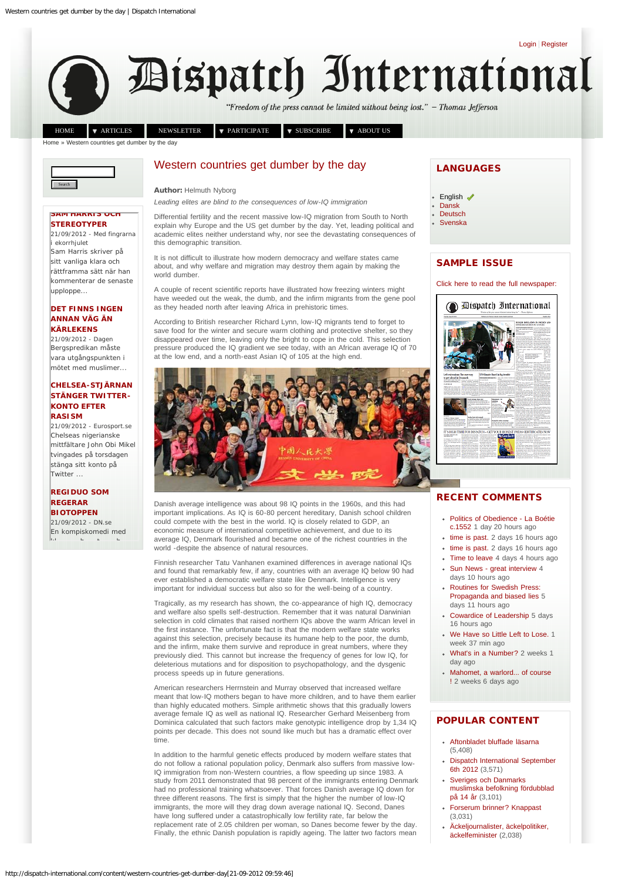[Login](http://dispatch-international.com/user) | [Register](http://dispatch-international.com/user/register)

<span id="page-0-0"></span>

"Freedom of the press cannot be limited without being lost." - Thomas Jefferson

[HOME](http://dispatch-international.com/)  $\bullet$  [ARTICLES](http://dispatch-international.com/content/articles) [NEWSLETTER](http://dispatch-international.com/civicrm/profile/create?gid=10&reset=1)  $\bullet$  [PARTICIPATE](http://dispatch-international.com/content/participate)  $\bullet$  [SUBSCRIBE](http://dispatch-international.com/content/subscribe)  $\bullet$  [ABOUT US](http://dispatch-international.com/content/about-us)

[Home](http://dispatch-international.com/) » Western countries get dumber by the day



### **[SAM HARRIS OCH](http://service.meltwaternews.com/mnews/redirect.html?docId=2373810761&userId=1360790&cId=384239&agentId=5251303&type=1&s=101056&url=http%3A%2F%2Fhumanistbloggen.blogspot.com%2F2012%2F09%2Fsam-harris-skriver-vanliga-klara-och.html) [STEREOTYPER](http://service.meltwaternews.com/mnews/redirect.html?docId=2373810761&userId=1360790&cId=384239&agentId=5251303&type=1&s=101056&url=http%3A%2F%2Fhumanistbloggen.blogspot.com%2F2012%2F09%2Fsam-harris-skriver-vanliga-klara-och.html)**

21/09/2012 - Med fingrarna ekorrhjulet Sam Harris skriver på sitt vanliga klara och rättframma sätt när han kommenterar de senaste upploppe...

### **[DET FINNS INGEN](http://service.meltwaternews.com/mnews/redirect.html?docId=2373838271&userId=1360790&cId=384239&agentId=5251303&type=1&s=111080&url=http%3A%2F%2Fwww.dagen.se%2Fopinion%2Fledare%2Fdet-finns-ingen-annan-vag-an-karlekens%2F) [ANNAN VÄG ÄN](http://service.meltwaternews.com/mnews/redirect.html?docId=2373838271&userId=1360790&cId=384239&agentId=5251303&type=1&s=111080&url=http%3A%2F%2Fwww.dagen.se%2Fopinion%2Fledare%2Fdet-finns-ingen-annan-vag-an-karlekens%2F) [KÄRLEKENS](http://service.meltwaternews.com/mnews/redirect.html?docId=2373838271&userId=1360790&cId=384239&agentId=5251303&type=1&s=111080&url=http%3A%2F%2Fwww.dagen.se%2Fopinion%2Fledare%2Fdet-finns-ingen-annan-vag-an-karlekens%2F)**

21/09/2012 - Dagen Bergspredikan måste vara utgångspunkten i mötet med muslimer...

### **[CHELSEA-STJÄRNAN](http://service.meltwaternews.com/mnews/redirect.html?docId=2373792512&userId=1360790&cId=384239&agentId=5251303&type=1&s=53582&url=http%3A%2F%2Fwww.eurosport.se%2Ffotboll%2Fpremier-league%2F2012-2013%2Fslutar-efter-twitterrasism_sto3431602%2Fstory.shtml) [STÄNGER TWITTER-](http://service.meltwaternews.com/mnews/redirect.html?docId=2373792512&userId=1360790&cId=384239&agentId=5251303&type=1&s=53582&url=http%3A%2F%2Fwww.eurosport.se%2Ffotboll%2Fpremier-league%2F2012-2013%2Fslutar-efter-twitterrasism_sto3431602%2Fstory.shtml)[KONTO EFTER](http://service.meltwaternews.com/mnews/redirect.html?docId=2373792512&userId=1360790&cId=384239&agentId=5251303&type=1&s=53582&url=http%3A%2F%2Fwww.eurosport.se%2Ffotboll%2Fpremier-league%2F2012-2013%2Fslutar-efter-twitterrasism_sto3431602%2Fstory.shtml) [RASISM](http://service.meltwaternews.com/mnews/redirect.html?docId=2373792512&userId=1360790&cId=384239&agentId=5251303&type=1&s=53582&url=http%3A%2F%2Fwww.eurosport.se%2Ffotboll%2Fpremier-league%2F2012-2013%2Fslutar-efter-twitterrasism_sto3431602%2Fstory.shtml)**

21/09/2012 - Eurosport.se Chelseas nigerianske mittfältare John Obi Mikel tvingades på torsdagen stänga sitt konto på Twitter ...

## **[REGIDUO SOM](http://service.meltwaternews.com/mnews/redirect.html?docId=2373783282&userId=1360790&cId=384239&agentId=5251303&type=1&s=153&url=http%3A%2F%2Fwww.dn.se%2Fkultur-noje%2Ffilm-tv%2Fregiduo-som-regerar-biotoppen) [REGERAR](http://service.meltwaternews.com/mnews/redirect.html?docId=2373783282&userId=1360790&cId=384239&agentId=5251303&type=1&s=153&url=http%3A%2F%2Fwww.dn.se%2Fkultur-noje%2Ffilm-tv%2Fregiduo-som-regerar-biotoppen) [BIOTOPPEN](http://service.meltwaternews.com/mnews/redirect.html?docId=2373783282&userId=1360790&cId=384239&agentId=5251303&type=1&s=153&url=http%3A%2F%2Fwww.dn.se%2Fkultur-noje%2Ffilm-tv%2Fregiduo-som-regerar-biotoppen)**

21/09/2012 - DN.se En kompiskomedi med kl h t ha t ha t ha t h

# Western countries get dumber by the day

Author: Helmuth Nyborg

*Leading elites are blind to the consequences of low-IQ immigration*

Differential fertility and the recent massive low-IQ migration from South to North explain why Europe and the US get dumber by the day. Yet, leading political and academic elites neither understand why, nor see the devastating consequences of this demographic transition.

It is not difficult to illustrate how modern democracy and welfare states came about, and why welfare and migration may destroy them again by making the world dumber

A couple of recent scientific reports have illustrated how freezing winters might have weeded out the weak, the dumb, and the infirm migrants from the gene pool as they headed north after leaving Africa in prehistoric times.

According to British researcher Richard Lynn, low-IQ migrants tend to forget to save food for the winter and secure warm clothing and protective shelter, so they disappeared over time, leaving only the bright to cope in the cold. This selection pressure produced the IQ gradient we see today, with an African average IQ of 70 at the low end, and a north-east Asian IQ of 105 at the high end.



Danish average intelligence was about 98 IQ points in the 1960s, and this had important implications. As IQ is 60-80 percent hereditary, Danish school children could compete with the best in the world. IQ is closely related to GDP, an economic measure of international competitive achievement, and due to its average IQ, Denmark flourished and became one of the richest countries in the world -despite the absence of natural resources.

Finnish researcher Tatu Vanhanen examined differences in average national IQs and found that remarkably few, if any, countries with an average IQ below 90 had ever established a democratic welfare state like Denmark. Intelligence is very important for individual success but also so for the well-being of a country.

Tragically, as my research has shown, the co-appearance of high IQ, democracy and welfare also spells self-destruction. Remember that it was natural Darwinian selection in cold climates that raised northern IQs above the warm African level in the first instance. The unfortunate fact is that the modern welfare state works against this selection, precisely because its humane help to the poor, the dumb, and the infirm, make them survive and reproduce in great numbers, where they previously died. This cannot but increase the frequency of genes for low IQ, for deleterious mutations and for disposition to psychopathology, and the dysgenic process speeds up in future generations.

American researchers Herrnstein and Murray observed that increased welfare meant that low-IQ mothers began to have more children, and to have them earlier than highly educated mothers. Simple arithmetic shows that this gradually lowers average female IQ as well as national IQ. Researcher Gerhard Meisenberg from Dominica calculated that such factors make genotypic intelligence drop by 1,34 IQ points per decade. This does not sound like much but has a dramatic effect over time.

In addition to the harmful genetic effects produced by modern welfare states that do not follow a rational population policy, Denmark also suffers from massive low-IQ immigration from non-Western countries, a flow speeding up since 1983. A study from 2011 demonstrated that 98 percent of the immigrants entering Denmark had no professional training whatsoever. That forces Danish average IQ down for three different reasons. The first is simply that the higher the number of low-IQ immigrants, the more will they drag down average national IQ. Second, Danes have long suffered under a catastrophically low fertility rate, far below the replacement rate of 2.05 children per woman, so Danes become fewer by the day. Finally, the ethnic Danish population is rapidly ageing. The latter two factors mean

# **LANGUAGES**

[English](#page-0-0) <

 $\ddot{\phantom{0}}$ 

- **[Dansk](http://dispatch-international.com/da/content/vestlige-lande-dummere-dag-dag)** [Deutsch](http://dispatch-international.com/de/content/mit-jedem-tag-werden-die-nationen-des-westens-d%C3%BCmmer)
- [Svenska](http://dispatch-international.com/sv/content/v%C3%A4stv%C3%A4rlden-blir-dummare-f%C3%B6r-varje-dag)

# SAMPLE ISSUE

### [Click here to read the full newspaper:](http://www.e-pages.dk/dispatch/2)



# RECENT COMMENTS

- [Politics of Obedience La Boétie](http://dispatch-international.com/comment/18#comment-18)
- [c.1552](http://dispatch-international.com/comment/18#comment-18) 1 day 20 hours ago
- [time is past.](http://dispatch-international.com/comment/16#comment-16) 2 days 16 hours ago
- [time is past.](http://dispatch-international.com/comment/15#comment-15) 2 days 16 hours ago • [Time to leave](http://dispatch-international.com/comment/13#comment-13) 4 days 4 hours ago
- [Sun News great interview](http://dispatch-international.com/comment/12#comment-12) 4 days 10 hours ago
- [Routines for Swedish Press:](http://dispatch-international.com/comment/11#comment-11) [Propaganda and biased lies](http://dispatch-international.com/comment/11#comment-11) 5 days 11 hours ago
- [Cowardice of Leadership](http://dispatch-international.com/comment/10#comment-10) 5 days 16 hours ago
- [We Have so Little Left to Lose.](http://dispatch-international.com/comment/9#comment-9) 1 week 37 min ago
- [What's in a Number?](http://dispatch-international.com/comment/7#comment-7) 2 weeks 1 day ago
- [Mahomet, a warlord... of course](http://dispatch-international.com/comment/3#comment-3) [!](http://dispatch-international.com/comment/3#comment-3) 2 weeks 6 days ago

# POPULAR CONTENT

- [Aftonbladet bluffade läsarna](http://dispatch-international.com/sv/content/aftonbladet-bluffade-l%C3%A4sarna) (5,408)
- [Dispatch International September](http://dispatch-international.com/content/dispatch-international-september-6th-2012) [6th 2012](http://dispatch-international.com/content/dispatch-international-september-6th-2012) (3,571)
- [Sveriges och Danmarks](http://dispatch-international.com/sv/content/sveriges-och-danmarks-muslimska-befolkning-f%C3%B6rdubblad-p%C3%A5-14-%C3%A5r) [muslimska befolkning fördubblad](http://dispatch-international.com/sv/content/sveriges-och-danmarks-muslimska-befolkning-f%C3%B6rdubblad-p%C3%A5-14-%C3%A5r) [på 14 år](http://dispatch-international.com/sv/content/sveriges-och-danmarks-muslimska-befolkning-f%C3%B6rdubblad-p%C3%A5-14-%C3%A5r) (3,101)
- [Forserum brinner? Knappast](http://dispatch-international.com/sv/content/forserum-brinner-knappast) (3,031)
- [Äckeljournalister, äckelpolitiker,](http://dispatch-international.com/sv/content/%C3%A4ckeljournalister-%C3%A4ckelpolitiker-%C3%A4ckelfeminister) [äckelfeminister](http://dispatch-international.com/sv/content/%C3%A4ckeljournalister-%C3%A4ckelpolitiker-%C3%A4ckelfeminister) (2,038)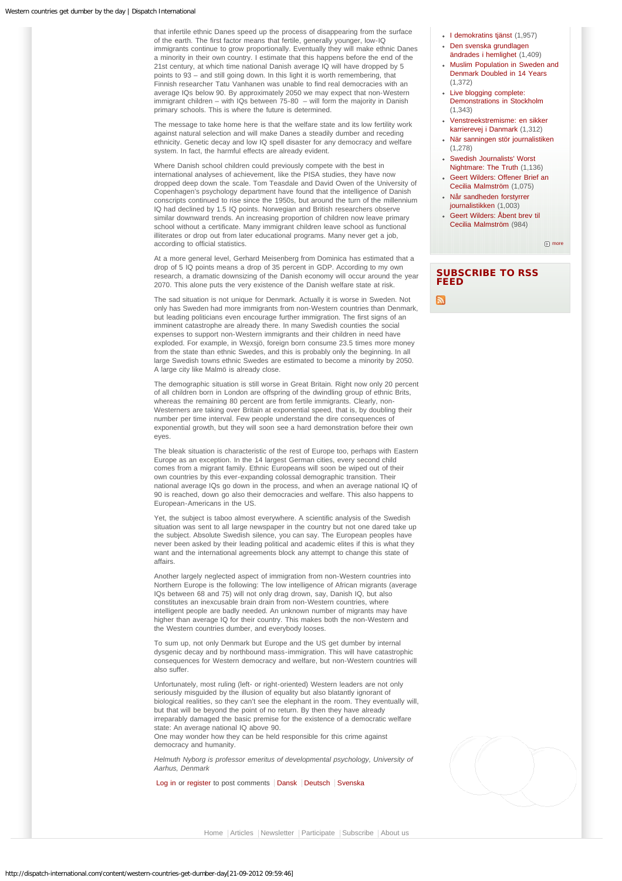that infertile ethnic Danes speed up the process of disappearing from the surface of the earth. The first factor means that fertile, generally younger, low-IQ immigrants continue to grow proportionally. Eventually they will make ethnic Danes a minority in their own country. I estimate that this happens before the end of the 21st century, at which time national Danish average IQ will have dropped by 5 points to 93 – and still going down. In this light it is worth remembering, that Finnish researcher Tatu Vanhanen was unable to find real democracies with an average IQs below 90. By approximately 2050 we may expect that non-Western immigrant children – with IQs between 75-80 – will form the majority in Danish primary schools. This is where the future is determined.

The message to take home here is that the welfare state and its low fertility work against natural selection and will make Danes a steadily dumber and receding ethnicity. Genetic decay and low IQ spell disaster for any democracy and welfare system. In fact, the harmful effects are already evident.

Where Danish school children could previously compete with the best in international analyses of achievement, like the PISA studies, they have now dropped deep down the scale. Tom Teasdale and David Owen of the University of Copenhagen's psychology department have found that the intelligence of Danish conscripts continued to rise since the 1950s, but around the turn of the millennium IQ had declined by 1.5 IQ points. Norwegian and British researchers observe similar downward trends. An increasing proportion of children now leave primary school without a certificate. Many immigrant children leave school as functional illiterates or drop out from later educational programs. Many never get a job, according to official statistics.

At a more general level, Gerhard Meisenberg from Dominica has estimated that a drop of 5 IQ points means a drop of 35 percent in GDP. According to my own research, a dramatic downsizing of the Danish economy will occur around the year 2070. This alone puts the very existence of the Danish welfare state at risk.

The sad situation is not unique for Denmark. Actually it is worse in Sweden. Not only has Sweden had more immigrants from non-Western countries than Denmark, but leading politicians even encourage further immigration. The first signs of an imminent catastrophe are already there. In many Swedish counties the social expenses to support non-Western immigrants and their children in need have exploded. For example, in Wexsjö, foreign born consume 23.5 times more money from the state than ethnic Swedes, and this is probably only the beginning. In all large Swedish towns ethnic Swedes are estimated to become a minority by 2050. A large city like Malmö is already close.

The demographic situation is still worse in Great Britain. Right now only 20 percent of all children born in London are offspring of the dwindling group of ethnic Brits, whereas the remaining 80 percent are from fertile immigrants. Clearly, non-Westerners are taking over Britain at exponential speed, that is, by doubling their number per time interval. Few people understand the dire consequences of exponential growth, but they will soon see a hard demonstration before their own eyes.

The bleak situation is characteristic of the rest of Europe too, perhaps with Eastern Europe as an exception. In the 14 largest German cities, every second child comes from a migrant family. Ethnic Europeans will soon be wiped out of their own countries by this ever-expanding colossal demographic transition. Their national average IQs go down in the process, and when an average national IQ of 90 is reached, down go also their democracies and welfare. This also happens to European-Americans in the US.

Yet, the subject is taboo almost everywhere. A scientific analysis of the Swedish situation was sent to all large newspaper in the country but not one dared take up the subject. Absolute Swedish silence, you can say. The European peoples have never been asked by their leading political and academic elites if this is what they want and the international agreements block any attempt to change this state of affairs.

Another largely neglected aspect of immigration from non-Western countries into Northern Europe is the following: The low intelligence of African migrants (average IQs between 68 and 75) will not only drag drown, say, Danish IQ, but also constitutes an inexcusable brain drain from non-Western countries, where intelligent people are badly needed. An unknown number of migrants may have higher than average IQ for their country. This makes both the non-Western and the Western countries dumber, and everybody looses.

To sum up, not only Denmark but Europe and the US get dumber by internal dysgenic decay and by northbound mass-immigration. This will have catastrophic consequences for Western democracy and welfare, but non-Western countries will also suffer.

Unfortunately, most ruling (left- or right-oriented) Western leaders are not only seriously misguided by the illusion of equality but also blatantly ignorant of biological realities, so they can't see the elephant in the room. They eventually will, but that will be beyond the point of no return. By then they have already irreparably damaged the basic premise for the existence of a democratic welfare state: An average national IQ above 90.

One may wonder how they can be held responsible for this crime against democracy and humanity.

*Helmuth Nyborg is professor emeritus of developmental psychology, University of Aarhus, Denmark*

[Log in](http://dispatch-international.com/user/login?destination=node/432%23comment-form) or [register](http://dispatch-international.com/user/register?destination=node/432%23comment-form) to post comments | [Dansk](http://dispatch-international.com/da/content/vestlige-lande-dummere-dag-dag) | [Deutsch](http://dispatch-international.com/de/content/mit-jedem-tag-werden-die-nationen-des-westens-d%C3%BCmmer) | [Svenska](http://dispatch-international.com/sv/content/v%C3%A4stv%C3%A4rlden-blir-dummare-f%C3%B6r-varje-dag)

[I demokratins tjänst](http://dispatch-international.com/sv/content/i-demokratins-tj%C3%A4nst) (1,957)

- [Den svenska grundlagen](http://dispatch-international.com/sv/content/den-svenska-grundlagen-%C3%A4ndrades-i-hemlighet) [ändrades i hemlighet](http://dispatch-international.com/sv/content/den-svenska-grundlagen-%C3%A4ndrades-i-hemlighet) (1,409)
- [Muslim Population in Sweden and](http://dispatch-international.com/content/muslim-population-sweden-and-denmark-doubled-14-years) [Denmark Doubled in 14 Years](http://dispatch-international.com/content/muslim-population-sweden-and-denmark-doubled-14-years) (1,372)
- [Live blogging complete:](http://dispatch-international.com/content/live-blogging-complete-demonstrations-stockholm) [Demonstrations in Stockholm](http://dispatch-international.com/content/live-blogging-complete-demonstrations-stockholm) (1,343)
- [Venstreekstremisme: en sikker](http://dispatch-international.com/da/content/venstreekstremisme-en-sikker-karrierevej-i-danmark) [karrierevej i Danmark](http://dispatch-international.com/da/content/venstreekstremisme-en-sikker-karrierevej-i-danmark) (1,312)
- [När sanningen stör journalistiken](http://dispatch-international.com/sv/content/n%C3%A4r-sanningen-st%C3%B6r-journalistiken) (1,278)
- [Swedish Journalists' Worst](http://dispatch-international.com/content/swedish-journalists-worst-nightmare-truth) [Nightmare: The Truth](http://dispatch-international.com/content/swedish-journalists-worst-nightmare-truth) (1,136)
- [Geert Wilders: Offener Brief an](http://dispatch-international.com/de/content/geert-wilders-offener-brief-cecilia-malmstr%C3%B6m) [Cecilia Malmström](http://dispatch-international.com/de/content/geert-wilders-offener-brief-cecilia-malmstr%C3%B6m) (1,075)
- [Når sandheden forstyrrer](http://dispatch-international.com/da/content/n%C3%A5r-sandheden-forstyrrer-journalistikken) [journalistikken](http://dispatch-international.com/da/content/n%C3%A5r-sandheden-forstyrrer-journalistikken) (1,003)
- [Geert Wilders: Åbent brev til](http://dispatch-international.com/da/content/geert-wilders-%C3%A5bent-brev-til-cecilia-malmstr%C3%B6m) [Cecilia Malmström](http://dispatch-international.com/da/content/geert-wilders-%C3%A5bent-brev-til-cecilia-malmstr%C3%B6m) (984)

 $\boxed{\mathbb{F}}$  [more](http://dispatch-international.com/popular/all)

# SUBSCRIBE TO RSS FEED



[Home](http://dispatch-international.com/) | [Articles](http://dispatch-international.com/content/articles) | [Newsletter](http://dispatch-international.com/civicrm/profile/create?gid=10&reset=1) | [Participate](http://dispatch-international.com/content/participate) | [Subscribe](http://dispatch-international.com/content/subscribe) | [About us](http://dispatch-international.com/content/about-us)